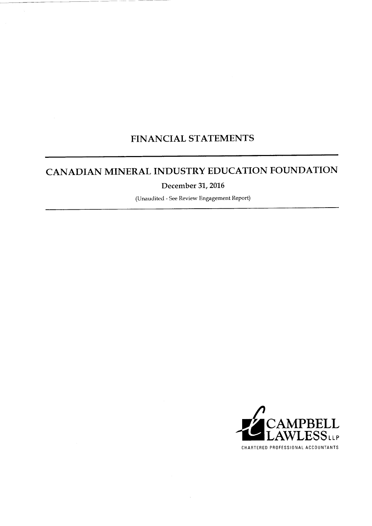## **FINANCIAL STATEMENTS**

## CANADIAN MINERAL INDUSTRY EDUCATION FOUNDATION

December 31, 2016

(Unaudited - See Review Engagement Report)

 $\sim$ 

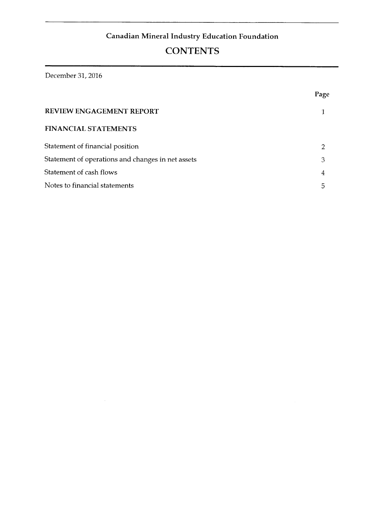# Canadian Mineral Industry Education Foundation<br>CONTENTS

## $S$  operations and changes in  $S$

Statement of cash flows 4 and 20 and 20 and 20 and 20 and 20 and 20 and 20 and 20 and 20 and 20 and 20 and 20

|                                                   | Page |
|---------------------------------------------------|------|
| <b>REVIEW ENGAGEMENT REPORT</b>                   |      |
| <b>FINANCIAL STATEMENTS</b>                       |      |
| Statement of financial position                   |      |
| Statement of operations and changes in net assets | 3    |
| Statement of cash flows                           | 4    |
| Notes to financial statements                     | 5    |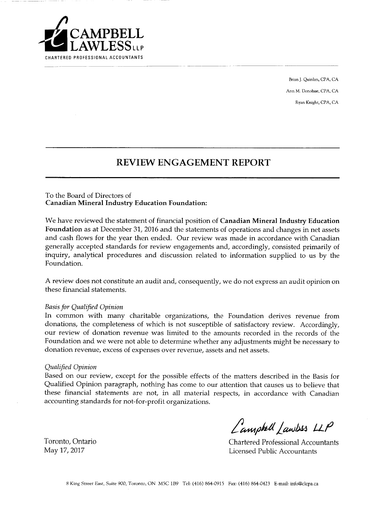

Brian J. Quinlan, CPA, CA Ann M. Donohue, CPA, CA Ryan Knight, CPA, CA

## inquiry, analytical procedures and discussion related to information supplied to us by the **REVIEW ENGAGEMENT REPORT**

A review does not constitute an audit and, consequently, we do not express an audit opinion on

#### To the Board of Directors of **Canadian Mineral Industry Education Foundation:**

We have reviewed the statement of financial position of Canadian Mineral Industry Education Foundation as at December 31, 2016 and the statements of operations and changes in net assets and cash flows for the year then ended. Our review was made in accordance with Canadian generally accepted standards for review engagements and, accordingly, consisted primarily of inquiry, analytical procedures and discussion related to information supplied to us by the Foundation.

A review does not constitute an audit and, consequently, we do not express an audit opinion on these financial statements.

#### **Basis for Qualified Opinion**

In common with many charitable organizations, the Foundation derives revenue from donations, the completeness of which is not susceptible of satisfactory review. Accordingly, our review of donation revenue was limited to the amounts recorded in the records of the Foundation and we were not able to determine whether any adjustments might be necessary to donation revenue, excess of expenses over revenue, assets and net assets.

#### Qualified Opinion

Based on our review, except for the possible effects of the matters described in the Basis for<br>Qualified Opinion paragraph, nothing has come to our attention that causes us to believe that these financial statements are not, in all material respects, in accordance with Canadian accounting standards for not-for-profit organizations.

Toronto, Ontario May 17, 2017

Lampbell Lawiss LLP

**Chartered Professional Accountants** Licensed Public Accountants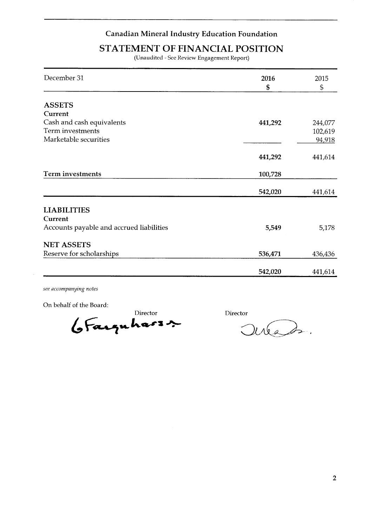## STATEMENT OF FINANCIAL POSITION

(Unaudited - See Review Engagement Report)

| 2015<br>\$         |
|--------------------|
|                    |
|                    |
|                    |
| 441,292<br>244,077 |
| 102,619            |
| 94,918             |
| 441,292<br>441,614 |
| 100,728            |
| 542,020<br>441,614 |
|                    |
|                    |
|                    |
| 5,549<br>5,178     |
|                    |
| 536,471<br>436,436 |
| 542,020<br>441,614 |
|                    |

see accompanying notes

On behalf of the Board:

 $\rm{Director}$ Grasspuhars ~

Director

avéas.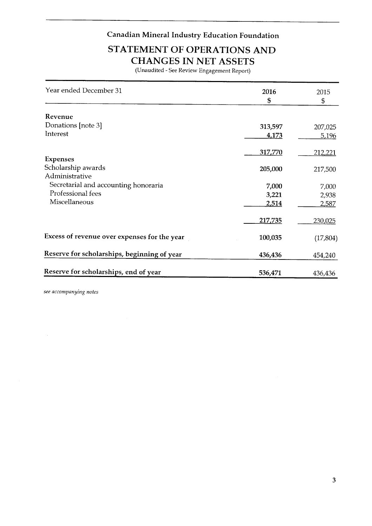Donations [note 3] *313,597* 207,025

# **3TATEMENT OF OPERATIONS AND CHANGES IN NET ASSETS**<br>(Unaudited - See Review Engagement Report)

| Year ended December 31                             |              |                |
|----------------------------------------------------|--------------|----------------|
|                                                    | 2016         | 2015           |
|                                                    | \$           | $\mathfrak{S}$ |
| Revenue                                            |              |                |
| Donations [note 3]                                 | 313,597      | 207,025        |
| Interest                                           | 4,173        | 5,196          |
|                                                    | 317,770      | <u>212,221</u> |
| <b>Expenses</b><br>Scholarship awards              | 205,000      | 217,500        |
| Administrative                                     |              |                |
| Secretarial and accounting honoraria               | 7,000        | 7,000          |
| Professional fees                                  | 3,221        | 2,938          |
| Miscellaneous                                      | <u>2,514</u> | 2,587          |
|                                                    | 217,735      | 230,025        |
| Excess of revenue over expenses for the year       | 100,035      | (17, 804)      |
| <b>Reserve for scholarships, beginning of year</b> | 436,436      | 454,240        |
| Reserve for scholarships, end of year              | 536,471      | 436,436        |

see accompanying notes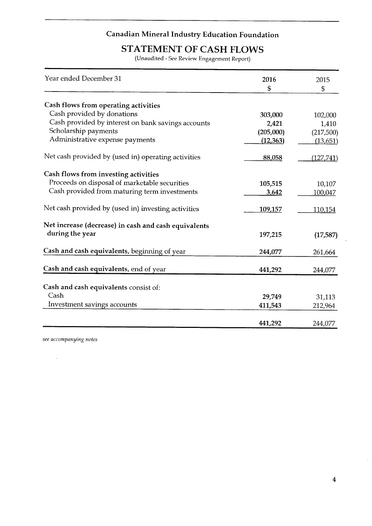#### $\alpha$ dministrative expense payments payments  $\alpha$ ation

2,421

1,410 million

Cash provided by interest on bank savings accounts

# STATEMENT OF CASH FLOWS (Unaudited - See Review Engagement Report)

| Year ended December 31                               | 2016           | 2015           |
|------------------------------------------------------|----------------|----------------|
|                                                      | \$             | $\mathfrak{s}$ |
| Cash flows from operating activities                 |                |                |
| Cash provided by donations                           | 303,000        | 102,000        |
| Cash provided by interest on bank savings accounts   | 2,421          | 1,410          |
| Scholarship payments                                 | (205,000)      | (217,500)      |
| Administrative expense payments                      | (12, 363)      | (13, 651)      |
| Net cash provided by (used in) operating activities  | 88,058         | (127, 741)     |
| Cash flows from investing activities                 |                |                |
| Proceeds on disposal of marketable securities        | 105,515        | 10,107         |
| Cash provided from maturing term investments         | 3,642          | 100,047        |
| Net cash provided by (used in) investing activities  | <u>109,157</u> | 110,154        |
| Net increase (decrease) in cash and cash equivalents |                |                |
| during the year                                      | 197,215        | (17, 587)      |
| Cash and cash equivalents, beginning of year         | 244,077        | 261,664        |
| Cash and cash equivalents, end of year               | 441,292        | 244,077        |
|                                                      |                |                |
| Cash and cash equivalents consist of:                |                |                |
| Cash                                                 | 29,749         | 31,113         |
| Investment savings accounts                          | 411,543        | 212,964        |
|                                                      | 441,292        | 244,077        |

see accompanying notes

 $\bar{\mathcal{A}}$ 

 $\hat{\boldsymbol{\epsilon}}$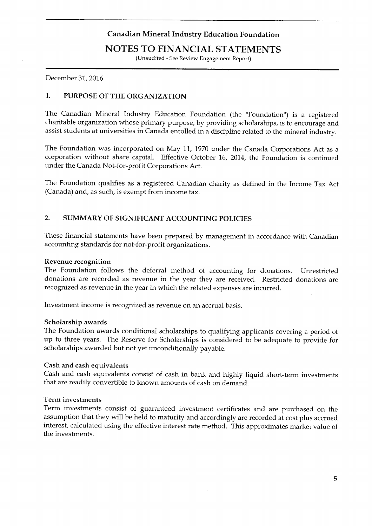charitable organization whose primary purpose, by providing scholarships, is to encourage and

#### $N$  of Foundation  $T$  on  $N$  11, 1970  $\overline{C}$  1, 1970  $\overline{C}$  Canada Corporations  $\overline{C}$ corporation without share capital. Effective October 16, 2014, the Foundation is continued

(Unaudited - See Review Engagement Report)

December 31, 2016

#### 1. PURPOSE OF THE ORGANIZATION

The Canadian Mineral Industry Education Foundation (the "Foundation") is a registered charitable organization whose primary purpose, by providing scholarships, is to encourage and assist students at universities in Canada enrolled in a discipline related to the mineral industry.

The Foundation was incorporated on May 11, 1970 under the Canada Corporations Act as a corporation without share capital. Effective October 16, 2014, the Foundation is continued under the Canada Not-for-profit Corporations Act.

The Foundation qualifies as a registered Canadian charity as defined in the Income Tax Act (Canada) and, as such, is exempt from income tax.

#### 2. SUMMARY OF SIGNIFICANT ACCOUNTING POLICIES

These financial statements have been prepared by management in accordance with Canadian accounting standards for not-for-profit organizations.

#### **Revenue recognition**

The Foundation follows the deferral method of accounting for donations. Unrestricted donations are recorded as revenue in the year they are received. Restricted donations are recognized as revenue in the year in which the related expenses are incurred.

Investment income is recognized as revenue on an accrual basis.

#### Scholarship awards

The Foundation awards conditional scholarships to qualifying applicants covering a period of up to three years. The Reserve for Scholarships is considered to be adequate to provide for scholarships awarded but not yet unconditionally payable.

#### Cash and cash equivalents

Cash and cash equivalents consist of cash in bank and highly liquid short-term investments that are readily convertible to known amounts of cash on demand.

#### Term investments

Term investments consist of guaranteed investment certificates and are purchased on the assumption that they will be held to maturity and accordingly are recorded at cost plus accrued interest, calculated using the effective interest rate method. This approximates market value of the investments.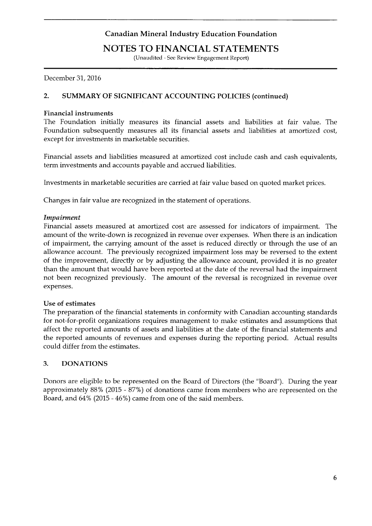#### $\sigma$  its subsequently measures all its financial assets and liabilities at amortized cost, and liabilities at amortized cost, and liabilities at amortized cost, and liabilities at amortized cost, and liabilities at amorti Canadian Militial Industries.

The Foundation initially measures its financial assets and liabilities at fair value. The

## NOTES TO FINANCIAL STATEMENTS

(Unaudited - See Review Engagement Report)

December 31, 2016

#### 2. SUMMARY OF SIGNIFICANT ACCOUNTING POLICIES (continued)

#### **Financial instruments**

The Foundation initially measures its financial assets and liabilities at fair value. The Foundation subsequently measures all its financial assets and liabilities at amortized cost, except for investments in marketable securities.

Financial assets and liabilities measured at amortized cost include cash and cash equivalents, term investments and accounts payable and accrued liabilities.

Investments in marketable securities are carried at fair value based on quoted market prices.

Changes in fair value are recognized in the statement of operations.

#### Impairment

Financial assets measured at amortized cost are assessed for indicators of impairment. The amount of the write-down is recognized in revenue over expenses. When there is an indication of impairment, the carrying amount of the asset is reduced directly or through the use of an allowance account. The previously recognized impairment loss may be reversed to the extent of the improvement, directly or by adjusting the allowance account, provided it is no greater than the amount that would have been reported at the date of the reversal had the impairment not been recognized previously. The amount of the reversal is recognized in revenue over approximately 88% (2015 - 87%) of donations came from members who are represented on the representations who are represented on the representations of  $\alpha$ 

#### Use of estimates

The preparation of the financial statements in conformity with Canadian accounting standards for not-for-profit organizations requires management to make estimates and assumptions that affect the reported amounts of assets and liabilities at the date of the financial statements and the reported amounts of revenues and expenses during the reporting period. Actual results could differ from the estimates.

#### 3. **DONATIONS**

Donors are eligible to be represented on the Board of Directors (the "Board"). During the year approximately 88% (2015 - 87%) of donations came from members who are represented on the Board, and 64% (2015 - 46%) came from one of the said members.